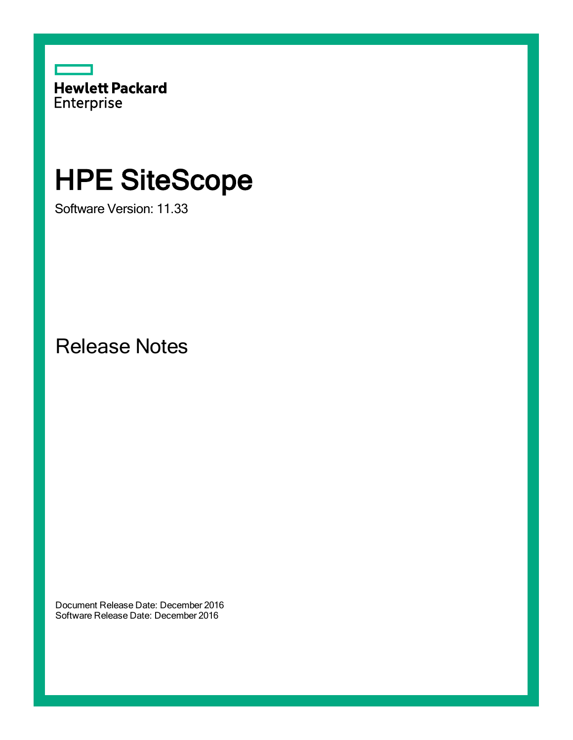

# HPE SiteScope

Software Version: 11.33

Release Notes

Document Release Date: December 2016 Software Release Date: December 2016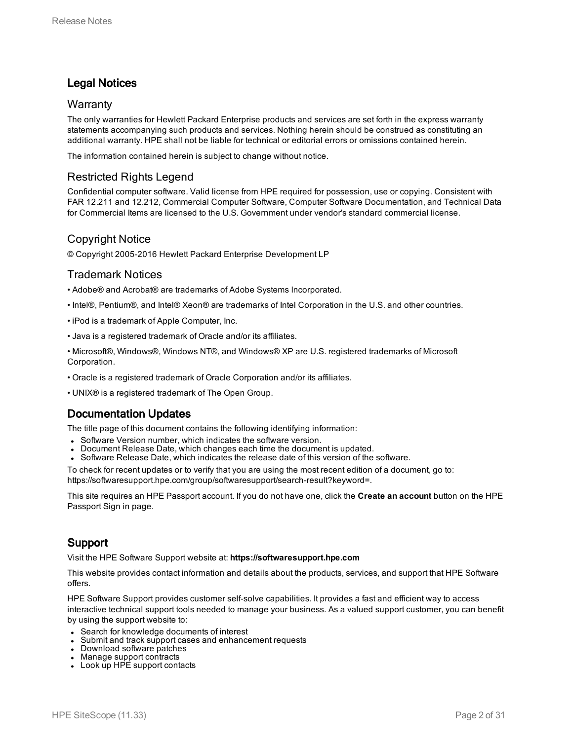## Legal Notices

## **Warranty**

The only warranties for Hewlett Packard Enterprise products and services are set forth in the express warranty statements accompanying such products and services. Nothing herein should be construed as constituting an additional warranty. HPE shall not be liable for technical or editorial errors or omissions contained herein.

The information contained herein is subject to change without notice.

## Restricted Rights Legend

Confidential computer software. Valid license from HPE required for possession, use or copying. Consistent with FAR 12.211 and 12.212, Commercial Computer Software, Computer Software Documentation, and Technical Data for Commercial Items are licensed to the U.S. Government under vendor's standard commercial license.

## Copyright Notice

© Copyright 2005-2016 Hewlett Packard Enterprise Development LP

## Trademark Notices

- Adobe® and Acrobat® are trademarks of Adobe Systems Incorporated.
- Intel®, Pentium®, and Intel® Xeon® are trademarks of Intel Corporation in the U.S. and other countries.
- iPod is a trademark of Apple Computer, Inc.
- Java is a registered trademark of Oracle and/or its affiliates.
- Microsoft®, Windows®, Windows NT®, and Windows® XP are U.S. registered trademarks of Microsoft Corporation.
- Oracle is a registered trademark of Oracle Corporation and/or its affiliates.
- UNIX® is a registered trademark of The Open Group.

## Documentation Updates

The title page of this document contains the following identifying information:

- Software Version number, which indicates the software version.
- Document Release Date, which changes each time the document is updated.
- <sup>l</sup> Software Release Date, which indicates the release date of this version of the software.

To check for recent updates or to verify that you are using the most recent edition of a document, go to: https://softwaresupport.hpe.com/group/softwaresupport/search-result?keyword=.

This site requires an HPE Passport account. If you do not have one, click the **Create an account** button on the HPE Passport Sign in page.

## Support

Visit the HPE Software Support website at: **https://softwaresupport.hpe.com**

This website provides contact information and details about the products, services, and support that HPE Software offers.

HPE Software Support provides customer self-solve capabilities. It provides a fast and efficient way to access interactive technical support tools needed to manage your business. As a valued support customer, you can benefit by using the support website to:

- Search for knowledge documents of interest
- Submit and track support cases and enhancement requests
- Download software patches
- Manage support contracts
- $\bullet$  Look up HPE support contacts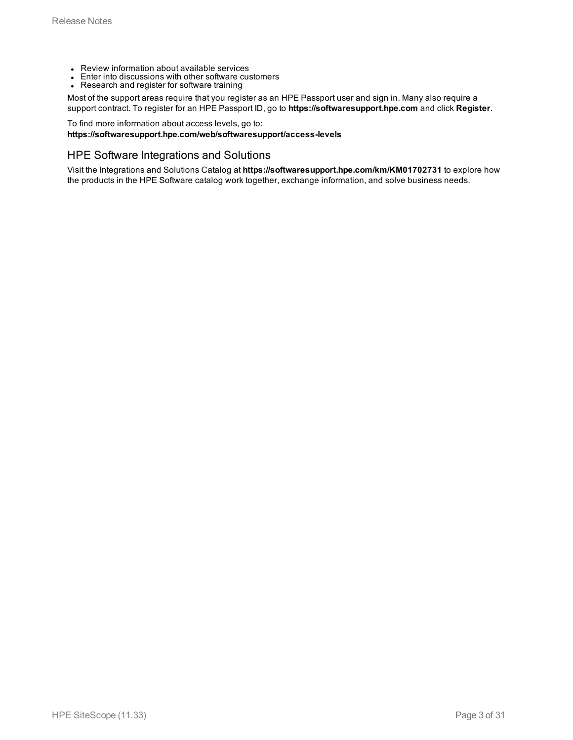- Review information about available services
- Enter into discussions with other software customers
- Research and register for software training

Most of the support areas require that you register as an HPE Passport user and sign in. Many also require a support contract. To register for an HPE Passport ID, go to **https://softwaresupport.hpe.com** and click **Register**.

To find more information about access levels, go to:

#### **https://softwaresupport.hpe.com/web/softwaresupport/access-levels**

### HPE Software Integrations and Solutions

Visit the Integrations and Solutions Catalog at **https://softwaresupport.hpe.com/km/KM01702731** to explore how the products in the HPE Software catalog work together, exchange information, and solve business needs.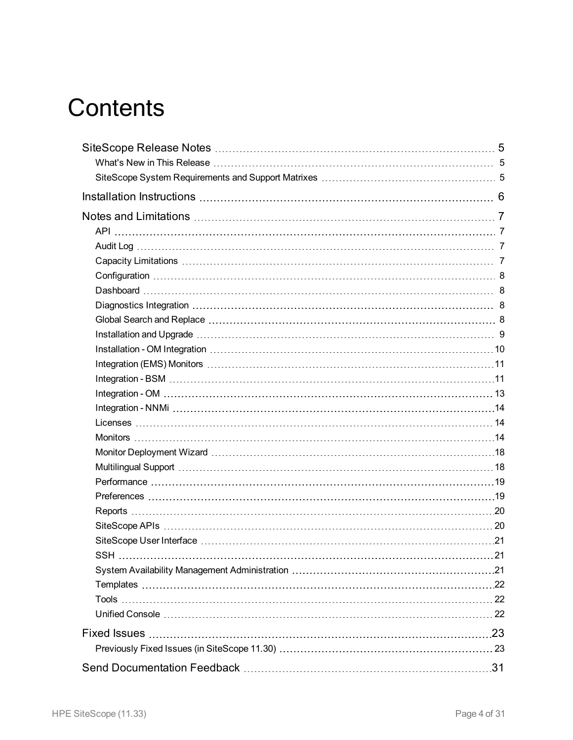# **Contents**

| <b>SSH</b> | 21 |
|------------|----|
|            |    |
|            |    |
|            |    |
|            |    |
|            |    |
|            |    |
|            |    |
|            |    |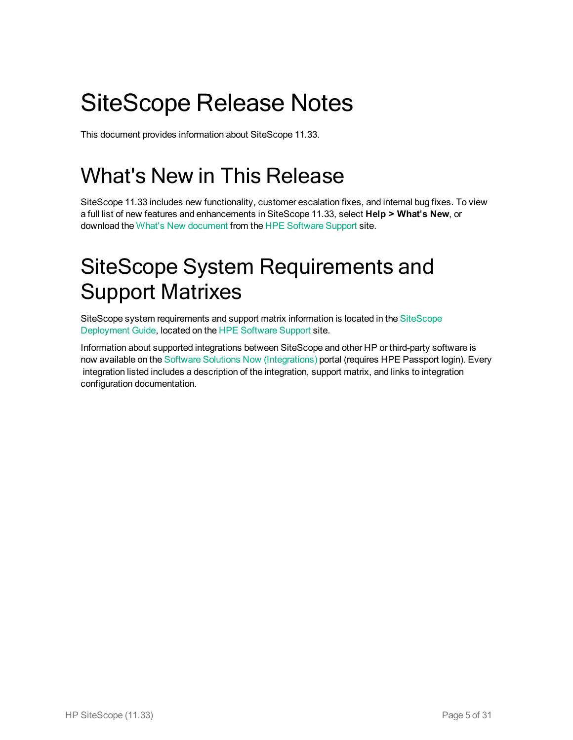# <span id="page-4-0"></span>SiteScope Release Notes

<span id="page-4-1"></span>This document provides information about SiteScope 11.33.

# What's New in This Release

SiteScope 11.33 includes new functionality, customer escalation fixes, and internal bug fixes. To view a full list of new features and enhancements in SiteScope 11.33, select **Help > What's New**, or download the What's New [document](https://softwaresupport.hpe.com/km/KM02656537) from the HPE [Software](https://softwaresupport.hpe.com/) Support site.

# <span id="page-4-2"></span>SiteScope System Requirements and Support Matrixes

SiteScope system requirements and support matrix information is located in the [SiteScope](https://softwaresupport.hpe.com/km/KM02656620) [Deployment](https://softwaresupport.hpe.com/km/KM02656620) Guide, located on the HPE [Software](https://softwaresupport.hpe.com/) Support site.

Information about supported integrations between SiteScope and other HP or third-party software is now available on the Software Solutions Now [\(Integrations\)](https://hpenterprise.sharepoint.com/teams/aztec/Portal/index.html) portal (requires HPE Passport login). Every integration listed includes a description of the integration, support matrix, and links to integration configuration documentation.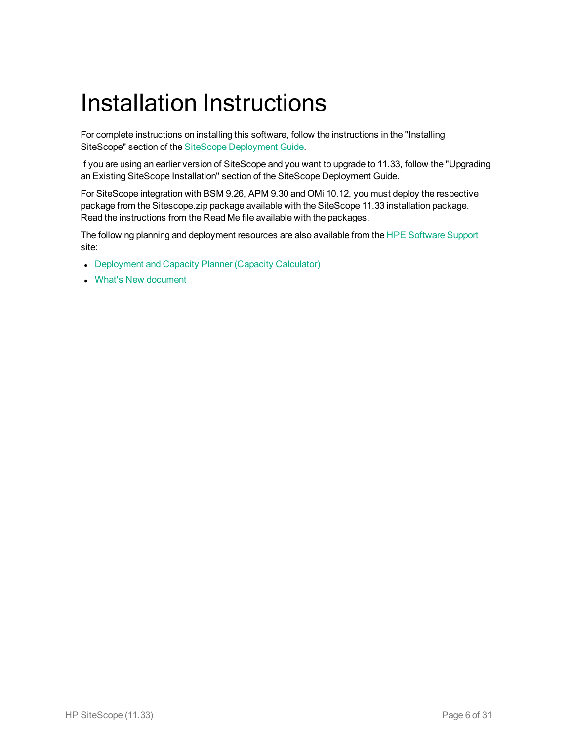# <span id="page-5-0"></span>Installation Instructions

For complete instructions on installing this software, follow the instructions in the "Installing SiteScope" section of the SiteScope [Deployment](https://softwaresupport.hpe.com/km/KM02656620) Guide.

If you are using an earlier version of SiteScope and you want to upgrade to 11.33, follow the "Upgrading an Existing SiteScope Installation" section of the SiteScope Deployment Guide.

For SiteScope integration with BSM 9.26, APM 9.30 and OMi 10.12, you must deploy the respective package from the Sitescope.zip package available with the SiteScope 11.33 installation package. Read the instructions from the Read Me file available with the packages.

The following planning and deployment resources are also available from the HPE [Software](https://softwaresupport.hpe.com/) Support site:

- [Deployment](https://softwaresupport.hpe.com/km/KM02656619) and Capacity Planner (Capacity Calculator)
- What's New [document](https://softwaresupport.hpe.com/km/KM02656537)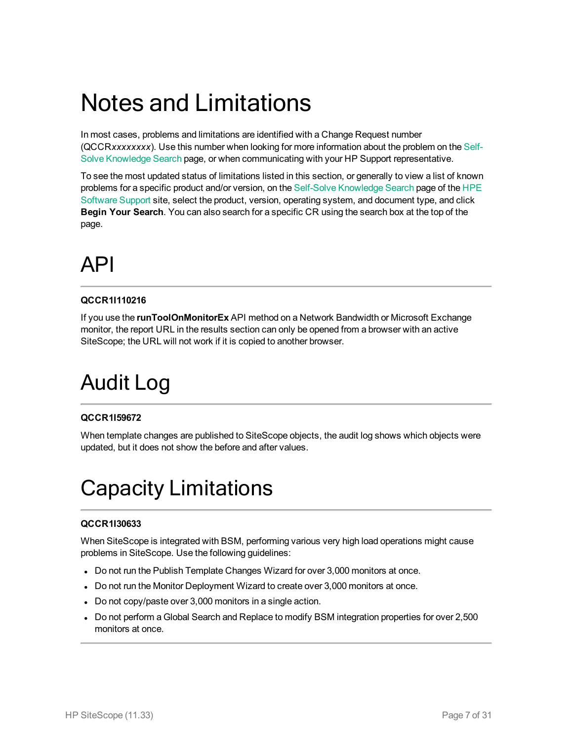# <span id="page-6-0"></span>Notes and Limitations

In most cases, problems and limitations are identified with a Change Request number (QCCR*xxxxxxxx*). Use this number when looking for more information about the problem on the [Self-](https://softwaresupport.hp.com/group/softwaresupport/search-result?keyword=)Solve [Knowledge](https://softwaresupport.hp.com/group/softwaresupport/search-result?keyword=) Search page, or when communicating with your HP Support representative.

To see the most updated status of limitations listed in this section, or generally to view a list of known problems for a specific product and/or version, on the Self-Solve [Knowledge](https://softwaresupport.hp.com/group/softwaresupport/search-result?keyword=) Search page of the [HPE](https://softwaresupport.hp.com/) [Software](https://softwaresupport.hp.com/) Support site, select the product, version, operating system, and document type, and click **Begin Your Search**. You can also search for a specific CR using the search box at the top of the page.

# <span id="page-6-1"></span>API

## **QCCR1I110216**

If you use the **runToolOnMonitorEx** API method on a Network Bandwidth or Microsoft Exchange monitor, the report URL in the results section can only be opened from a browser with an active SiteScope; the URL will not work if it is copied to another browser.

# <span id="page-6-2"></span>Audit Log

## **QCCR1I59672**

<span id="page-6-3"></span>When template changes are published to SiteScope objects, the audit log shows which objects were updated, but it does not show the before and after values.

# Capacity Limitations

## **QCCR1I30633**

When SiteScope is integrated with BSM, performing various very high load operations might cause problems in SiteScope. Use the following guidelines:

- Do not run the Publish Template Changes Wizard for over 3,000 monitors at once.
- Do not run the Monitor Deployment Wizard to create over 3,000 monitors at once.
- Do not copy/paste over 3,000 monitors in a single action.
- Do not perform a Global Search and Replace to modify BSM integration properties for over 2,500 monitors at once.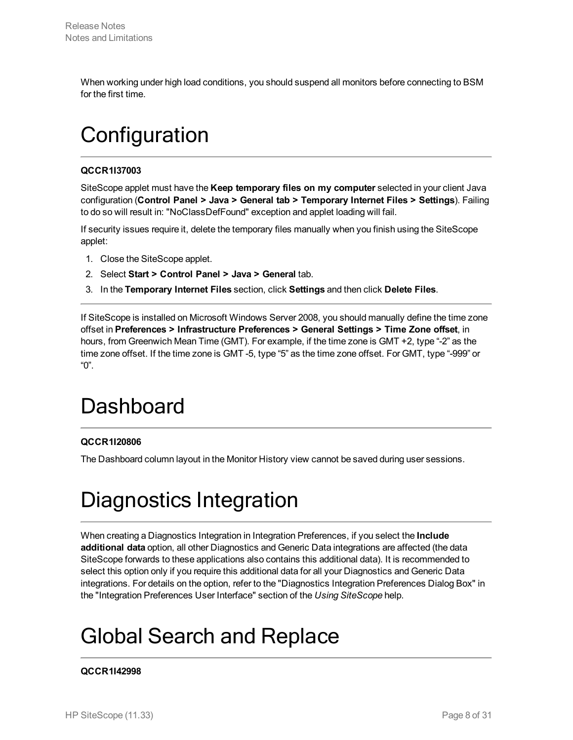<span id="page-7-0"></span>When working under high load conditions, you should suspend all monitors before connecting to BSM for the first time.

# **Configuration**

## **QCCR1I37003**

SiteScope applet must have the **Keep temporary files on my computer** selected in your client Java configuration (**Control Panel > Java > General tab > Temporary Internet Files > Settings**). Failing to do so will result in: "NoClassDefFound" exception and applet loading will fail.

If security issues require it, delete the temporary files manually when you finish using the SiteScope applet:

- 1. Close the SiteScope applet.
- 2. Select **Start > Control Panel > Java > General** tab.
- 3. In the **Temporary Internet Files** section, click **Settings** and then click **Delete Files**.

If SiteScope is installed on Microsoft Windows Server 2008, you should manually define the time zone offset in **Preferences > Infrastructure Preferences > General Settings > Time Zone offset**, in hours, from Greenwich Mean Time (GMT). For example, if the time zone is GMT +2, type "-2" as the time zone offset. If the time zone is GMT -5, type "5" as the time zone offset. For GMT, type "-999" or "0".

# <span id="page-7-1"></span>**Dashboard**

## **QCCR1I20806**

<span id="page-7-2"></span>The Dashboard column layout in the Monitor History view cannot be saved during user sessions.

# Diagnostics Integration

When creating a Diagnostics Integration in Integration Preferences, if you select the **Include additional data** option, all other Diagnostics and Generic Data integrations are affected (the data SiteScope forwards to these applications also contains this additional data). It is recommended to select this option only if you require this additional data for all your Diagnostics and Generic Data integrations. For details on the option, refer to the "Diagnostics Integration Preferences Dialog Box" in the "Integration Preferences User Interface" section of the *Using SiteScope* help.

# <span id="page-7-3"></span>Global Search and Replace

## **QCCR1I42998**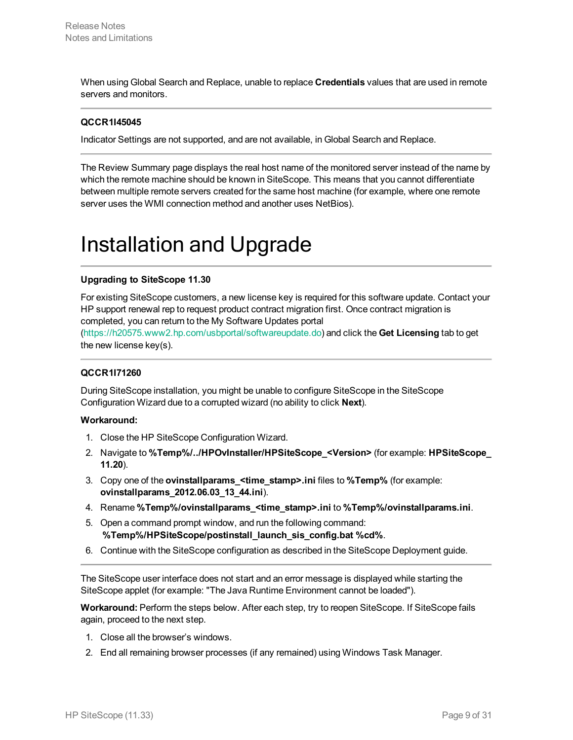When using Global Search and Replace, unable to replace **Credentials** values that are used in remote servers and monitors.

### **QCCR1I45045**

Indicator Settings are not supported, and are not available, in Global Search and Replace.

The Review Summary page displays the real host name of the monitored server instead of the name by which the remote machine should be known in SiteScope. This means that you cannot differentiate between multiple remote servers created for the same host machine (for example, where one remote server uses the WMI connection method and another uses NetBios).

# <span id="page-8-0"></span>Installation and Upgrade

#### **Upgrading to SiteScope 11.30**

For existing SiteScope customers, a new license key is required for this software update. Contact your HP support renewal rep to request product contract migration first. Once contract migration is completed, you can return to the My Software Updates portal

[\(https://h20575.www2.hp.com/usbportal/softwareupdate.do\)](https://h20575.www2.hp.com/usbportal/softwareupdate.do) and click the **Get Licensing** tab to get the new license key(s).

#### **QCCR1I71260**

During SiteScope installation, you might be unable to configure SiteScope in the SiteScope Configuration Wizard due to a corrupted wizard (no ability to click **Next**).

#### **Workaround:**

- 1. Close the HP SiteScope Configuration Wizard.
- 2. Navigate to **%Temp%/../HPOvInstaller/HPSiteScope\_<Version>** (for example: **HPSiteScope\_ 11.20**).
- 3. Copy one of the **ovinstallparams\_<time\_stamp>.ini** files to **%Temp%** (for example: **ovinstallparams\_2012.06.03\_13\_44.ini**).
- 4. Rename **%Temp%/ovinstallparams\_<time\_stamp>.ini** to **%Temp%/ovinstallparams.ini**.
- 5. Open a command prompt window, and run the following command: **%Temp%/HPSiteScope/postinstall\_launch\_sis\_config.bat %cd%**.
- 6. Continue with the SiteScope configuration as described in the SiteScope Deployment guide.

The SiteScope user interface does not start and an error message is displayed while starting the SiteScope applet (for example: "The Java Runtime Environment cannot be loaded").

**Workaround:** Perform the steps below. After each step, try to reopen SiteScope. If SiteScope fails again, proceed to the next step.

- 1. Close all the browser's windows.
- 2. End all remaining browser processes (if any remained) using Windows Task Manager.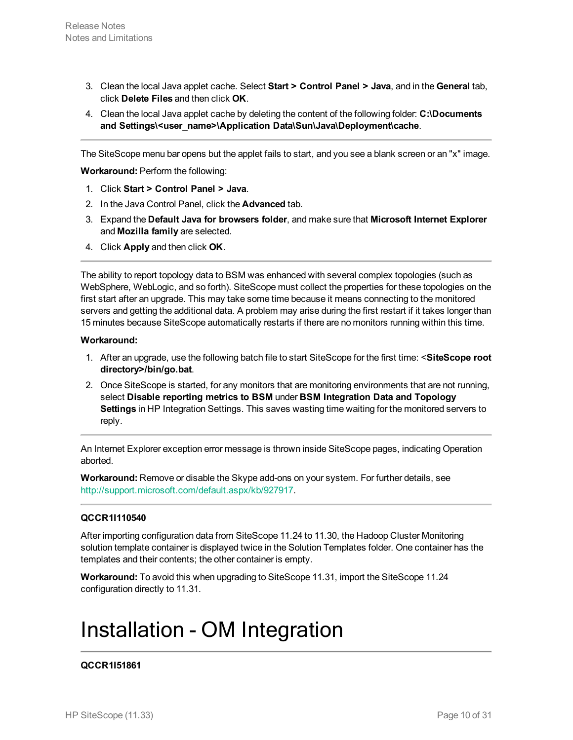- 3. Clean the local Java applet cache. Select **Start > Control Panel > Java**, and in the **General** tab, click **Delete Files** and then click **OK**.
- 4. Clean the local Java applet cache by deleting the content of the following folder: **C:\Documents** and Settings\<user\_name>\Application Data\Sun\Java\Deployment\cache.

The SiteScope menu bar opens but the applet fails to start, and you see a blank screen or an "x" image.

**Workaround:** Perform the following:

- 1. Click **Start > Control Panel > Java**.
- 2. In the Java Control Panel, click the **Advanced** tab.
- 3. Expand the **Default Java for browsers folder**, and make sure that **Microsoft Internet Explorer** and **Mozilla family** are selected.
- 4. Click **Apply** and then click **OK**.

The ability to report topology data to BSM was enhanced with several complex topologies (such as WebSphere, WebLogic, and so forth). SiteScope must collect the properties for these topologies on the first start after an upgrade. This may take some time because it means connecting to the monitored servers and getting the additional data. A problem may arise during the first restart if it takes longer than 15 minutes because SiteScope automatically restarts if there are no monitors running within this time.

#### **Workaround:**

- 1. After an upgrade, use the following batch file to start SiteScope for the first time: <**SiteScope root directory>/bin/go.bat**.
- 2. Once SiteScope is started, for any monitors that are monitoring environments that are not running, select **Disable reporting metrics to BSM** under **BSM Integration Data and Topology Settings** in HP Integration Settings. This saves wasting time waiting for the monitored servers to reply.

An Internet Explorer exception error message is thrown inside SiteScope pages, indicating Operation aborted.

**Workaround:** Remove or disable the Skype add-ons on your system. For further details, see [http://support.microsoft.com/default.aspx/kb/927917.](http://support.microsoft.com/default.aspx/kb/927917)

#### **QCCR1I110540**

After importing configuration data from SiteScope 11.24 to 11.30, the Hadoop Cluster Monitoring solution template container is displayed twice in the Solution Templates folder. One container has the templates and their contents; the other container is empty.

<span id="page-9-0"></span>**Workaround:** To avoid this when upgrading to SiteScope 11.31, import the SiteScope 11.24 configuration directly to 11.31.

# Installation - OM Integration

#### **QCCR1I51861**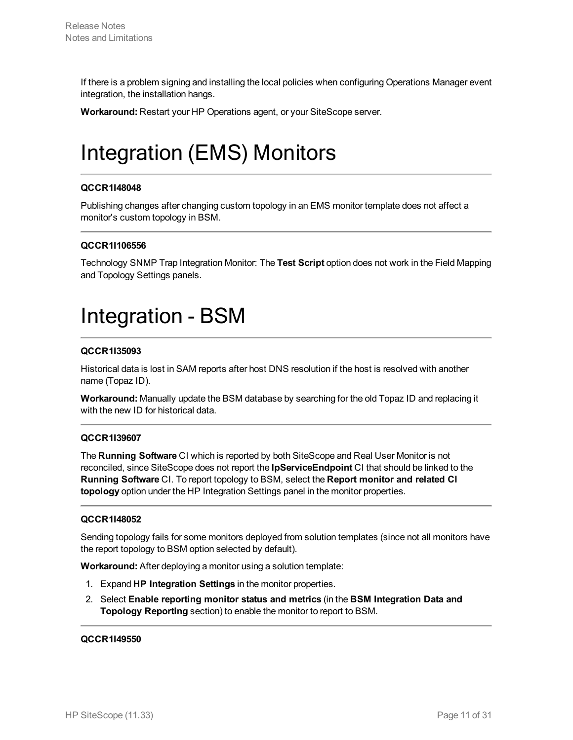If there is a problem signing and installing the local policies when configuring Operations Manager event integration, the installation hangs.

<span id="page-10-0"></span>**Workaround:** Restart your HP Operations agent, or your SiteScope server.

# Integration (EMS) Monitors

## **QCCR1I48048**

Publishing changes after changing custom topology in an EMS monitor template does not affect a monitor's custom topology in BSM.

## **QCCR1I106556**

<span id="page-10-1"></span>Technology SNMP Trap Integration Monitor: The **Test Script** option does not work in the Field Mapping and Topology Settings panels.

# Integration - BSM

## **QCCR1I35093**

Historical data is lost in SAM reports after host DNS resolution if the host is resolved with another name (Topaz ID).

**Workaround:** Manually update the BSM database by searching for the old Topaz ID and replacing it with the new ID for historical data.

## **QCCR1I39607**

The **Running Software** CI which is reported by both SiteScope and Real User Monitor is not reconciled, since SiteScope does not report the **IpServiceEndpoint** CI that should be linked to the **Running Software** CI. To report topology to BSM, select the **Report monitor and related CI topology** option under the HP Integration Settings panel in the monitor properties.

## **QCCR1I48052**

Sending topology fails for some monitors deployed from solution templates (since not all monitors have the report topology to BSM option selected by default).

**Workaround:** After deploying a monitor using a solution template:

- 1. Expand **HP Integration Settings** in the monitor properties.
- 2. Select **Enable reporting monitor status and metrics** (in the **BSM Integration Data and Topology Reporting** section) to enable the monitor to report to BSM.

#### **QCCR1I49550**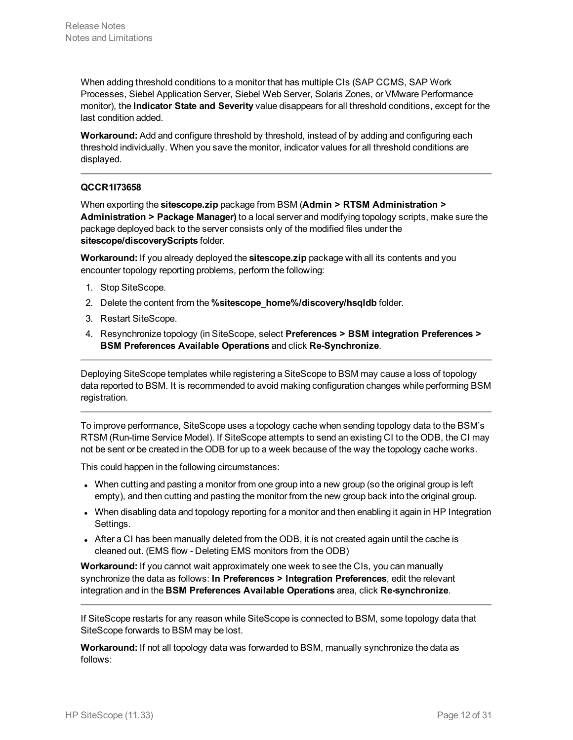When adding threshold conditions to a monitor that has multiple CIs (SAP CCMS, SAP Work Processes, Siebel Application Server, Siebel Web Server, Solaris Zones, or VMware Performance monitor), the **Indicator State and Severity** value disappears for all threshold conditions, except for the last condition added.

**Workaround:** Add and configure threshold by threshold, instead of by adding and configuring each threshold individually. When you save the monitor, indicator values for all threshold conditions are displayed.

### **QCCR1I73658**

When exporting the **sitescope.zip** package from BSM (**Admin > RTSM Administration > Administration > Package Manager)** to a local server and modifying topology scripts, make sure the package deployed back to the server consists only of the modified files under the **sitescope/discoveryScripts** folder.

**Workaround:** If you already deployed the **sitescope.zip** package with all its contents and you encounter topology reporting problems, perform the following:

- 1. Stop SiteScope.
- 2. Delete the content from the **%sitescope\_home%/discovery/hsqldb** folder.
- 3. Restart SiteScope.
- 4. Resynchronize topology (in SiteScope, select **Preferences > BSM integration Preferences > BSM Preferences Available Operations** and click **Re-Synchronize**.

Deploying SiteScope templates while registering a SiteScope to BSM may cause a loss of topology data reported to BSM. It is recommended to avoid making configuration changes while performing BSM registration.

To improve performance, SiteScope uses a topology cache when sending topology data to the BSM's RTSM (Run-time Service Model). If SiteScope attempts to send an existing CI to the ODB, the CI may not be sent or be created in the ODB for up to a week because of the way the topology cache works.

This could happen in the following circumstances:

- When cutting and pasting a monitor from one group into a new group (so the original group is left empty), and then cutting and pasting the monitor from the new group back into the original group.
- When disabling data and topology reporting for a monitor and then enabling it again in HP Integration Settings.
- After a CI has been manually deleted from the ODB, it is not created again until the cache is cleaned out. (EMS flow - Deleting EMS monitors from the ODB)

**Workaround:** If you cannot wait approximately one week to see the CIs, you can manually synchronize the data as follows: **In Preferences > Integration Preferences**, edit the relevant integration and in the **BSM Preferences Available Operations** area, click **Re-synchronize**.

If SiteScope restarts for any reason while SiteScope is connected to BSM, some topology data that SiteScope forwards to BSM may be lost.

**Workaround:** If not all topology data was forwarded to BSM, manually synchronize the data as follows: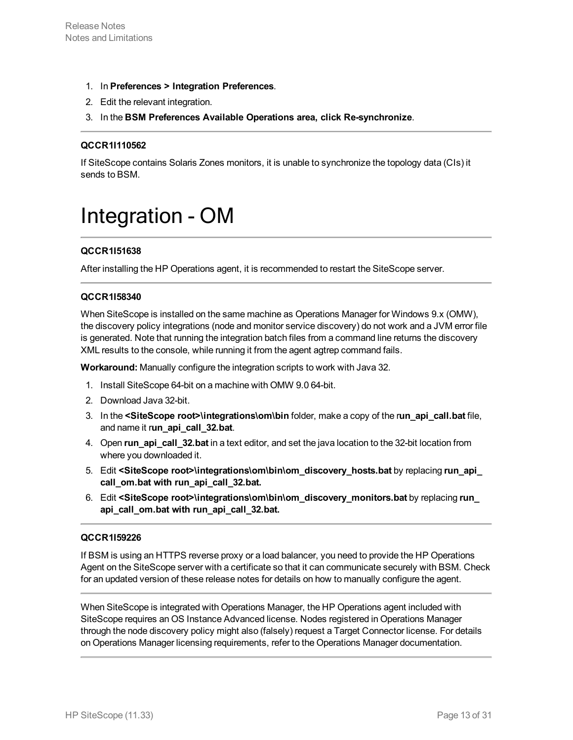- 1. In **Preferences > Integration Preferences**.
- 2. Edit the relevant integration.
- 3. In the **BSM Preferences Available Operations area, click Re-synchronize**.

#### **QCCR1I110562**

<span id="page-12-0"></span>If SiteScope contains Solaris Zones monitors, it is unable to synchronize the topology data (CIs) it sends to BSM.

# Integration - OM

## **QCCR1I51638**

After installing the HP Operations agent, it is recommended to restart the SiteScope server.

#### **QCCR1I58340**

When SiteScope is installed on the same machine as Operations Manager for Windows 9.x (OMW), the discovery policy integrations (node and monitor service discovery) do not work and a JVM error file is generated. Note that running the integration batch files from a command line returns the discovery XML results to the console, while running it from the agent agtrep command fails.

**Workaround:** Manually configure the integration scripts to work with Java 32.

- 1. Install SiteScope 64-bit on a machine with OMW 9.0 64-bit.
- 2. Download Java 32-bit.
- 3. In the **<SiteScope root>\integrations\om\bin** folder, make a copy of the r**un\_api\_call.bat** file, and name it r**un\_api\_call\_32.bat**.
- 4. Open **run\_api\_call\_32.bat** in a text editor, and set the java location to the 32-bit location from where you downloaded it.
- 5. Edit **<SiteScope root>\integrations\om\bin\om\_discovery\_hosts.bat** by replacing **run\_api\_ call\_om.bat with run\_api\_call\_32.bat.**
- 6. Edit **<SiteScope root>\integrations\om\bin\om\_discovery\_monitors.bat** by replacing **run\_ api\_call\_om.bat with run\_api\_call\_32.bat.**

#### **QCCR1I59226**

If BSM is using an HTTPS reverse proxy or a load balancer, you need to provide the HP Operations Agent on the SiteScope server with a certificate so that it can communicate securely with BSM. Check for an updated version of these release notes for details on how to manually configure the agent.

When SiteScope is integrated with Operations Manager, the HP Operations agent included with SiteScope requires an OS Instance Advanced license. Nodes registered in Operations Manager through the node discovery policy might also (falsely) request a Target Connector license. For details on Operations Manager licensing requirements, refer to the Operations Manager documentation.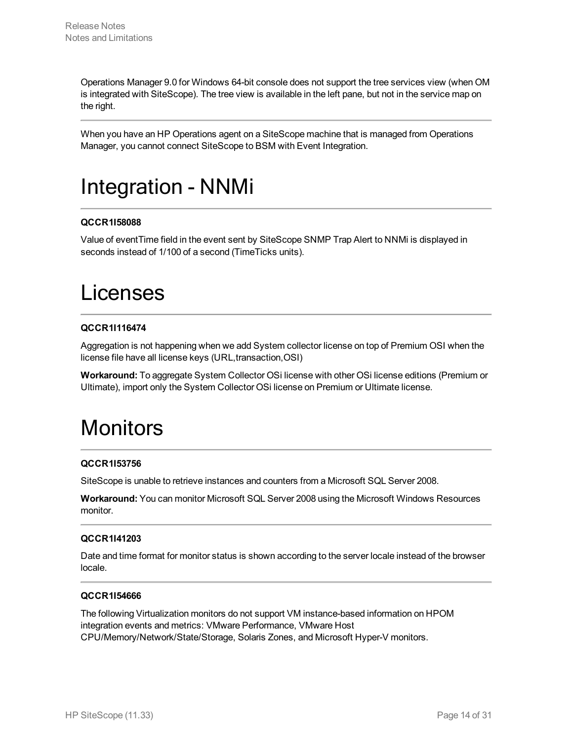Operations Manager 9.0 for Windows 64-bit console does not support the tree services view (when OM is integrated with SiteScope). The tree view is available in the left pane, but not in the service map on the right.

<span id="page-13-0"></span>When you have an HP Operations agent on a SiteScope machine that is managed from Operations Manager, you cannot connect SiteScope to BSM with Event Integration.

# Integration - NNMi

## **QCCR1I58088**

<span id="page-13-1"></span>Value of eventTime field in the event sent by SiteScope SNMP Trap Alert to NNMi is displayed in seconds instead of 1/100 of a second (TimeTicks units).

# Licenses

## **QCCR1I116474**

Aggregation is not happening when we add System collector license on top of Premium OSI when the license file have all license keys (URL,transaction,OSI)

<span id="page-13-2"></span>**Workaround:** To aggregate System Collector OSi license with other OSi license editions (Premium or Ultimate), import only the System Collector OSi license on Premium or Ultimate license.

# **Monitors**

## **QCCR1I53756**

SiteScope is unable to retrieve instances and counters from a Microsoft SQL Server 2008.

**Workaround:** You can monitor Microsoft SQL Server 2008 using the Microsoft Windows Resources monitor.

## **QCCR1I41203**

Date and time format for monitor status is shown according to the server locale instead of the browser locale.

## **QCCR1I54666**

The following Virtualization monitors do not support VM instance-based information on HPOM integration events and metrics: VMware Performance, VMware Host CPU/Memory/Network/State/Storage, Solaris Zones, and Microsoft Hyper-V monitors.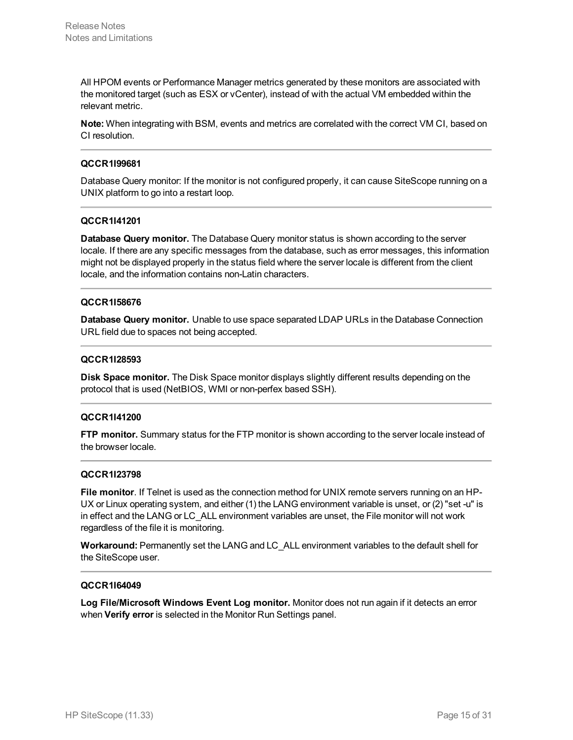All HPOM events or Performance Manager metrics generated by these monitors are associated with the monitored target (such as ESX or vCenter), instead of with the actual VM embedded within the relevant metric.

**Note:** When integrating with BSM, events and metrics are correlated with the correct VM CI, based on CI resolution.

#### **QCCR1I99681**

Database Query monitor: If the monitor is not configured properly, it can cause SiteScope running on a UNIX platform to go into a restart loop.

#### **QCCR1I41201**

**Database Query monitor.** The Database Query monitor status is shown according to the server locale. If there are any specific messages from the database, such as error messages, this information might not be displayed properly in the status field where the server locale is different from the client locale, and the information contains non-Latin characters.

#### **QCCR1I58676**

**Database Query monitor.** Unable to use space separated LDAP URLs in the Database Connection URL field due to spaces not being accepted.

#### **QCCR1I28593**

**Disk Space monitor.** The Disk Space monitor displays slightly different results depending on the protocol that is used (NetBIOS, WMI or non-perfex based SSH).

#### **QCCR1I41200**

**FTP monitor.** Summary status for the FTP monitor is shown according to the server locale instead of the browser locale.

#### **QCCR1I23798**

**File monitor**. If Telnet is used as the connection method for UNIX remote servers running on an HP-UX or Linux operating system, and either (1) the LANG environment variable is unset, or (2) "set -u" is in effect and the LANG or LC\_ALL environment variables are unset, the File monitor will not work regardless of the file it is monitoring.

**Workaround:** Permanently set the LANG and LC\_ALL environment variables to the default shell for the SiteScope user.

#### **QCCR1I64049**

**Log File/Microsoft Windows Event Log monitor.** Monitor does not run again if it detects an error when **Verify error** is selected in the Monitor Run Settings panel.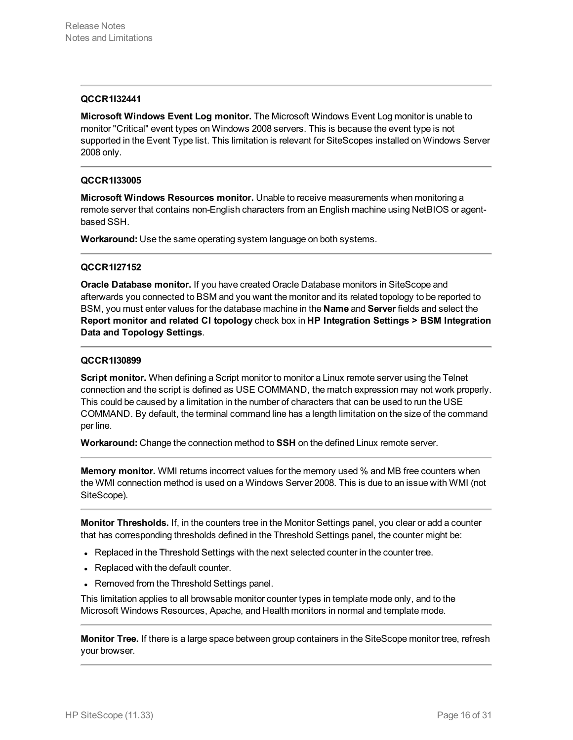#### **QCCR1I32441**

**Microsoft Windows Event Log monitor.** The Microsoft Windows Event Log monitor is unable to monitor "Critical" event types on Windows 2008 servers. This is because the event type is not supported in the Event Type list. This limitation is relevant for SiteScopes installed on Windows Server 2008 only.

#### **QCCR1I33005**

**Microsoft Windows Resources monitor.** Unable to receive measurements when monitoring a remote server that contains non-English characters from an English machine using NetBIOS or agentbased SSH.

**Workaround:** Use the same operating system language on both systems.

#### **QCCR1I27152**

**Oracle Database monitor.** If you have created Oracle Database monitors in SiteScope and afterwards you connected to BSM and you want the monitor and its related topology to be reported to BSM, you must enter values for the database machine in the **Name** and **Server** fields and select the **Report monitor and related CI topology** check box in **HP Integration Settings > BSM Integration Data and Topology Settings**.

#### **QCCR1I30899**

**Script monitor.** When defining a Script monitor to monitor a Linux remote server using the Telnet connection and the script is defined as USE COMMAND, the match expression may not work properly. This could be caused by a limitation in the number of characters that can be used to run the USE COMMAND. By default, the terminal command line has a length limitation on the size of the command per line.

**Workaround:** Change the connection method to **SSH** on the defined Linux remote server.

**Memory monitor.** WMI returns incorrect values for the memory used % and MB free counters when the WMI connection method is used on a Windows Server 2008. This is due to an issue with WMI (not SiteScope).

**Monitor Thresholds.** If, in the counters tree in the Monitor Settings panel, you clear or add a counter that has corresponding thresholds defined in the Threshold Settings panel, the counter might be:

- Replaced in the Threshold Settings with the next selected counter in the counter tree.
- Replaced with the default counter.
- Removed from the Threshold Settings panel.

This limitation applies to all browsable monitor counter types in template mode only, and to the Microsoft Windows Resources, Apache, and Health monitors in normal and template mode.

**Monitor Tree.** If there is a large space between group containers in the SiteScope monitor tree, refresh your browser.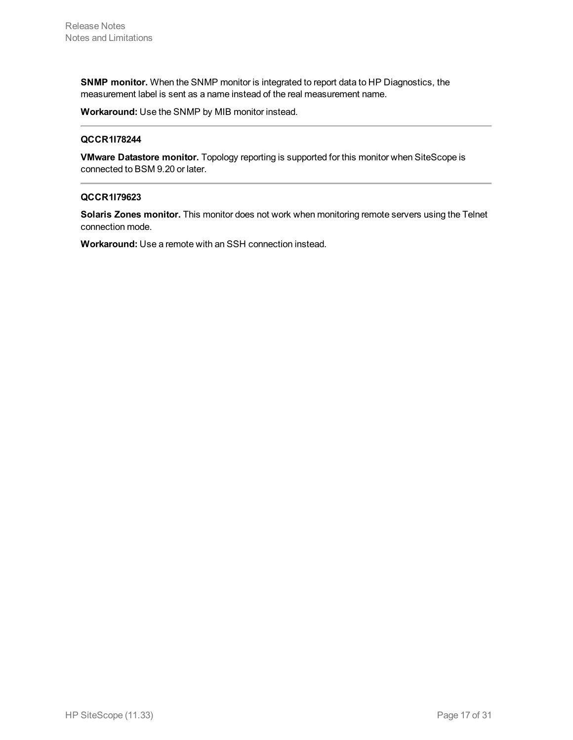**SNMP monitor.** When the SNMP monitor is integrated to report data to HP Diagnostics, the measurement label is sent as a name instead of the real measurement name.

**Workaround:** Use the SNMP by MIB monitor instead.

#### **QCCR1I78244**

**VMware Datastore monitor.** Topology reporting is supported for this monitor when SiteScope is connected to BSM 9.20 or later.

#### **QCCR1I79623**

**Solaris Zones monitor.** This monitor does not work when monitoring remote servers using the Telnet connection mode.

**Workaround:** Use a remote with an SSH connection instead.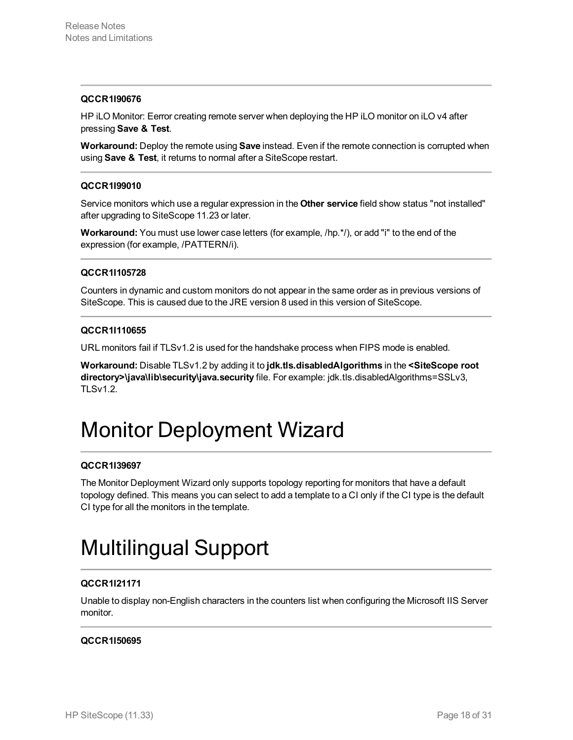#### **QCCR1I90676**

HP iLO Monitor: Eerror creating remote server when deploying the HP iLO monitor on iLO v4 after pressing **Save & Test**.

**Workaround:** Deploy the remote using **Save** instead. Even if the remote connection is corrupted when using **Save & Test**, it returns to normal after a SiteScope restart.

#### **QCCR1I99010**

Service monitors which use a regular expression in the **Other service** field show status "not installed" after upgrading to SiteScope 11.23 or later.

**Workaround:** You must use lower case letters (for example, /hp.\*/), or add "i" to the end of the expression (for example, /PATTERN/i).

#### **QCCR1I105728**

Counters in dynamic and custom monitors do not appear in the same order as in previous versions of SiteScope. This is caused due to the JRE version 8 used in this version of SiteScope.

#### **QCCR1I110655**

URL monitors fail if TLSv1.2 is used for the handshake process when FIPS mode is enabled.

**Workaround:** Disable TLSv1.2 by adding it to **jdk.tls.disabledAlgorithms** in the **<SiteScope root directory>\java\lib\security\java.security** file. For example: jdk.tls.disabledAlgorithms=SSLv3, TLSv1.2.

# <span id="page-17-0"></span>Monitor Deployment Wizard

## **QCCR1I39697**

The Monitor Deployment Wizard only supports topology reporting for monitors that have a default topology defined. This means you can select to add a template to a CI only if the CI type is the default CI type for all the monitors in the template.

# <span id="page-17-1"></span>Multilingual Support

## **QCCR1I21171**

Unable to display non-English characters in the counters list when configuring the Microsoft IIS Server monitor.

## **QCCR1I50695**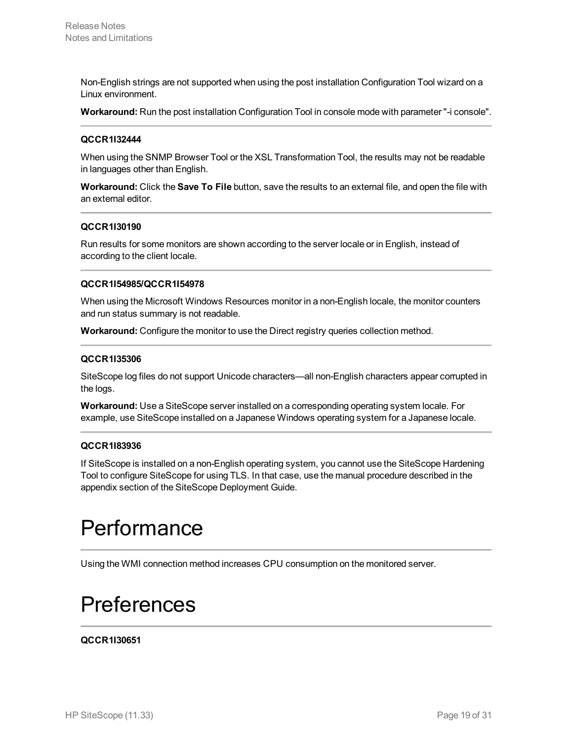Non-English strings are not supported when using the post installation Configuration Tool wizard on a Linux environment.

**Workaround:** Run the post installation Configuration Tool in console mode with parameter "-i console".

#### **QCCR1I32444**

When using the SNMP Browser Tool or the XSL Transformation Tool, the results may not be readable in languages other than English.

**Workaround:** Click the **Save To File** button, save the results to an external file, and open the file with an external editor.

#### **QCCR1I30190**

Run results for some monitors are shown according to the server locale or in English, instead of according to the client locale.

#### **QCCR1I54985/QCCR1I54978**

When using the Microsoft Windows Resources monitor in a non-English locale, the monitor counters and run status summary is not readable.

**Workaround:** Configure the monitor to use the Direct registry queries collection method.

#### **QCCR1I35306**

SiteScope log files do not support Unicode characters—all non-English characters appear corrupted in the logs.

**Workaround:** Use a SiteScope server installed on a corresponding operating system locale. For example, use SiteScope installed on a Japanese Windows operating system for a Japanese locale.

#### **QCCR1I83936**

If SiteScope is installed on a non-English operating system, you cannot use the SiteScope Hardening Tool to configure SiteScope for using TLS. In that case, use the manual procedure described in the appendix section of the SiteScope Deployment Guide.

# <span id="page-18-0"></span>Performance

<span id="page-18-1"></span>Using the WMI connection method increases CPU consumption on the monitored server.

# Preferences

#### **QCCR1I30651**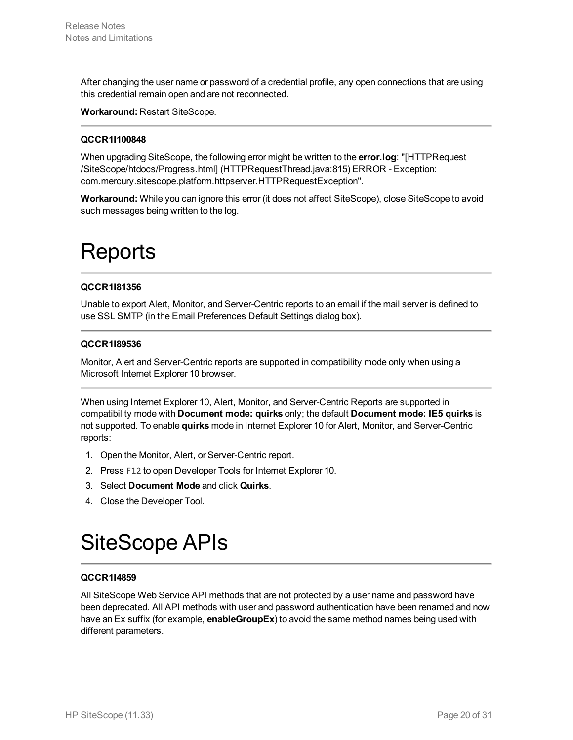After changing the user name or password of a credential profile, any open connections that are using this credential remain open and are not reconnected.

**Workaround:** Restart SiteScope.

#### **QCCR1I100848**

When upgrading SiteScope, the following error might be written to the **error.log**: "[HTTPRequest /SiteScope/htdocs/Progress.html] (HTTPRequestThread.java:815) ERROR - Exception: com.mercury.sitescope.platform.httpserver.HTTPRequestException".

<span id="page-19-0"></span>**Workaround:** While you can ignore this error (it does not affect SiteScope), close SiteScope to avoid such messages being written to the log.

# **Reports**

#### **QCCR1I81356**

Unable to export Alert, Monitor, and Server-Centric reports to an email if the mail server is defined to use SSL SMTP (in the Email Preferences Default Settings dialog box).

### **QCCR1I89536**

Monitor, Alert and Server-Centric reports are supported in compatibility mode only when using a Microsoft Internet Explorer 10 browser.

When using Internet Explorer 10, Alert, Monitor, and Server-Centric Reports are supported in compatibility mode with **Document mode: quirks** only; the default **Document mode: IE5 quirks** is not supported. To enable **quirks** mode in Internet Explorer 10 for Alert, Monitor, and Server-Centric reports:

- 1. Open the Monitor, Alert, or Server-Centric report.
- 2. Press F12 to open Developer Tools for Internet Explorer 10.
- 3. Select **Document Mode** and click **Quirks**.
- <span id="page-19-1"></span>4. Close the Developer Tool.

# SiteScope APIs

## **QCCR1I4859**

All SiteScope Web Service API methods that are not protected by a user name and password have been deprecated. All API methods with user and password authentication have been renamed and now have an Ex suffix (for example, **enableGroupEx**) to avoid the same method names being used with different parameters.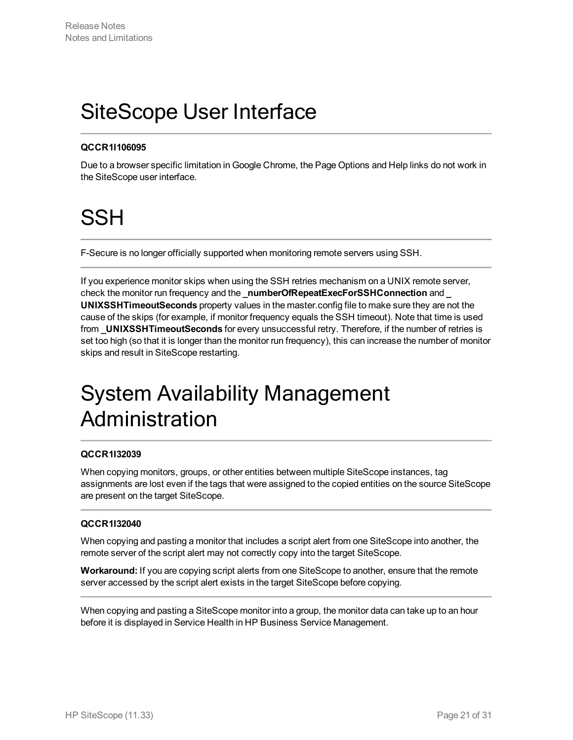# <span id="page-20-0"></span>SiteScope User Interface

## **QCCR1I106095**

<span id="page-20-1"></span>Due to a browser specific limitation in Google Chrome, the Page Options and Help links do not work in the SiteScope user interface.

# **SSH**

F-Secure is no longer officially supported when monitoring remote servers using SSH.

If you experience monitor skips when using the SSH retries mechanism on a UNIX remote server, check the monitor run frequency and the **\_numberOfRepeatExecForSSHConnection** and **\_ UNIXSSHTimeoutSeconds** property values in the master.config file to make sure they are not the cause of the skips (for example, if monitor frequency equals the SSH timeout). Note that time is used from **\_UNIXSSHTimeoutSeconds** for every unsuccessful retry. Therefore, if the number of retries is set too high (so that it is longer than the monitor run frequency), this can increase the number of monitor skips and result in SiteScope restarting.

# <span id="page-20-2"></span>System Availability Management Administration

## **QCCR1I32039**

When copying monitors, groups, or other entities between multiple SiteScope instances, tag assignments are lost even if the tags that were assigned to the copied entities on the source SiteScope are present on the target SiteScope.

## **QCCR1I32040**

When copying and pasting a monitor that includes a script alert from one SiteScope into another, the remote server of the script alert may not correctly copy into the target SiteScope.

**Workaround:** If you are copying script alerts from one SiteScope to another, ensure that the remote server accessed by the script alert exists in the target SiteScope before copying.

When copying and pasting a SiteScope monitor into a group, the monitor data can take up to an hour before it is displayed in Service Health in HP Business Service Management.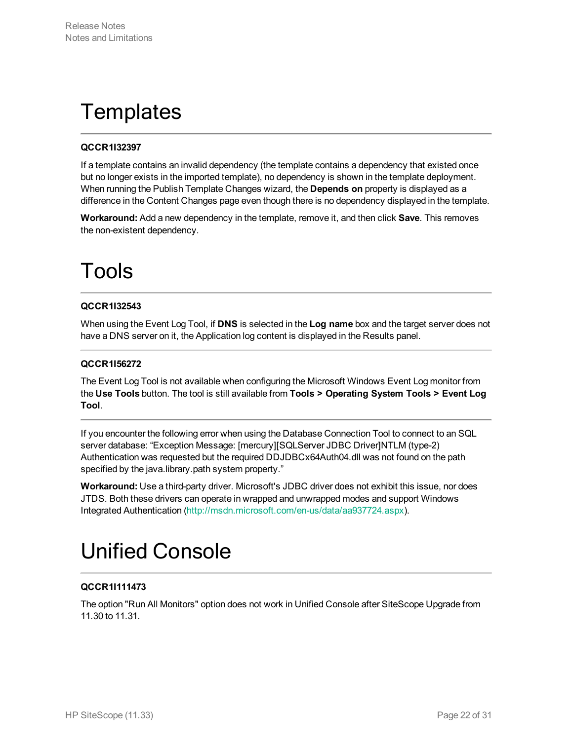# <span id="page-21-0"></span>**Templates**

## **QCCR1I32397**

If a template contains an invalid dependency (the template contains a dependency that existed once but no longer exists in the imported template), no dependency is shown in the template deployment. When running the Publish Template Changes wizard, the **Depends on** property is displayed as a difference in the Content Changes page even though there is no dependency displayed in the template.

<span id="page-21-1"></span>**Workaround:** Add a new dependency in the template, remove it, and then click **Save**. This removes the non-existent dependency.

# Tools

## **QCCR1I32543**

When using the Event Log Tool, if **DNS** is selected in the **Log name** box and the target server does not have a DNS server on it, the Application log content is displayed in the Results panel.

## **QCCR1I56272**

The Event Log Tool is not available when configuring the Microsoft Windows Event Log monitor from the **Use Tools** button. The tool is still available from **Tools > Operating System Tools > Event Log Tool**.

If you encounter the following error when using the Database Connection Tool to connect to an SQL server database: "Exception Message: [mercury][SQLServer JDBC Driver]NTLM (type-2) Authentication was requested but the required DDJDBCx64Auth04.dll was not found on the path specified by the java.library.path system property."

**Workaround:** Use a third-party driver. Microsoft's JDBC driver does not exhibit this issue, nor does JTDS. Both these drivers can operate in wrapped and unwrapped modes and support Windows Integrated Authentication (<http://msdn.microsoft.com/en-us/data/aa937724.aspx>).

# <span id="page-21-2"></span>Unified Console

## **QCCR1I111473**

The option "Run All Monitors" option does not work in Unified Console after SiteScope Upgrade from 11.30 to 11.31.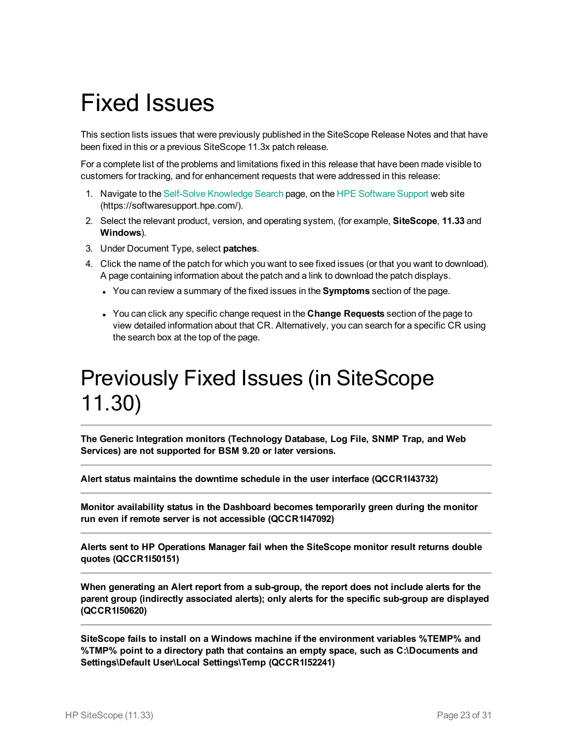# <span id="page-22-0"></span>Fixed Issues

This section lists issues that were previously published in the SiteScope Release Notes and that have been fixed in this or a previous SiteScope 11.3x patch release.

For a complete list of the problems and limitations fixed in this release that have been made visible to customers for tracking, and for enhancement requests that were addressed in this release:

- 1. Navigate to the Self-Solve [Knowledge](https://softwaresupport.hpe.com/group/softwaresupport/search-result?keyword=) Search page, on the HPE [Software](https://softwaresupport.hpe.com/) Support web site (https://softwaresupport.hpe.com/).
- 2. Select the relevant product, version, and operating system, (for example, **SiteScope**, **11.33** and **Windows**).
- 3. Under Document Type, select **patches**.
- 4. Click the name of the patch for which you want to see fixed issues (or that you want to download). A page containing information about the patch and a link to download the patch displays.
	- <sup>l</sup> You can review a summary of the fixed issues in the **Symptoms** section of the page.
	- <sup>l</sup> You can click any specific change request in the **Change Requests** section of the page to view detailed information about that CR. Alternatively, you can search for a specific CR using the search box at the top of the page.

# <span id="page-22-1"></span>Previously Fixed Issues (in SiteScope 11.30)

**The Generic Integration monitors (Technology Database, Log File, SNMP Trap, and Web Services) are not supported for BSM 9.20 or later versions.**

**Alert status maintains the downtime schedule in the user interface (QCCR1I43732)**

**Monitor availability status in the Dashboard becomes temporarily green during the monitor run even if remote server is not accessible (QCCR1I47092)**

**Alerts sent to HP Operations Manager fail when the SiteScope monitor result returns double quotes (QCCR1I50151)**

**When generating an Alert report from a sub-group, the report does not include alerts for the parent group (indirectly associated alerts); only alerts for the specific sub-group are displayed (QCCR1I50620)**

**SiteScope fails to install on a Windows machine if the environment variables %TEMP% and %TMP% point to a directory path that contains an empty space, such as C:\Documents and Settings\Default User\Local Settings\Temp (QCCR1I52241)**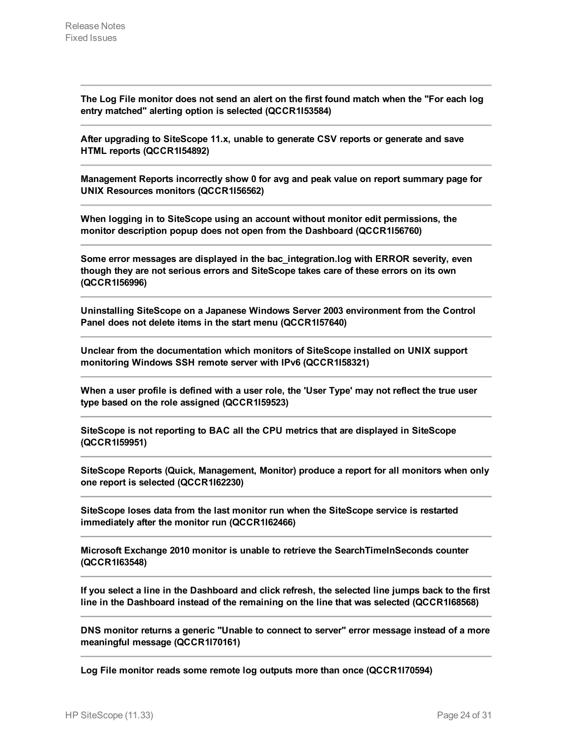**The Log File monitor does not send an alert on the first found match when the "For each log entry matched" alerting option is selected (QCCR1I53584)**

**After upgrading to SiteScope 11.x, unable to generate CSV reports or generate and save HTML reports (QCCR1I54892)**

**Management Reports incorrectly show 0 for avg and peak value on report summary page for UNIX Resources monitors (QCCR1I56562)**

**When logging in to SiteScope using an account without monitor edit permissions, the monitor description popup does not open from the Dashboard (QCCR1I56760)**

**Some error messages are displayed in the bac\_integration.log with ERROR severity, even though they are not serious errors and SiteScope takes care of these errors on its own (QCCR1I56996)**

**Uninstalling SiteScope on a Japanese Windows Server 2003 environment from the Control Panel does not delete items in the start menu (QCCR1I57640)**

**Unclear from the documentation which monitors of SiteScope installed on UNIX support monitoring Windows SSH remote server with IPv6 (QCCR1I58321)**

When a user profile is defined with a user role, the 'User Type' may not reflect the true user **type based on the role assigned (QCCR1I59523)**

**SiteScope is not reporting to BAC all the CPU metrics that are displayed in SiteScope (QCCR1I59951)**

**SiteScope Reports (Quick, Management, Monitor) produce a report for all monitors when only one report is selected (QCCR1I62230)**

**SiteScope loses data from the last monitor run when the SiteScope service is restarted immediately after the monitor run (QCCR1I62466)**

**Microsoft Exchange 2010 monitor is unable to retrieve the SearchTimeInSeconds counter (QCCR1I63548)**

If you select a line in the Dashboard and click refresh, the selected line jumps back to the first **line in the Dashboard instead of the remaining on the line that was selected (QCCR1I68568)**

**DNS monitor returns a generic "Unable to connect to server" error message instead of a more meaningful message (QCCR1I70161)**

**Log File monitor reads some remote log outputs more than once (QCCR1I70594)**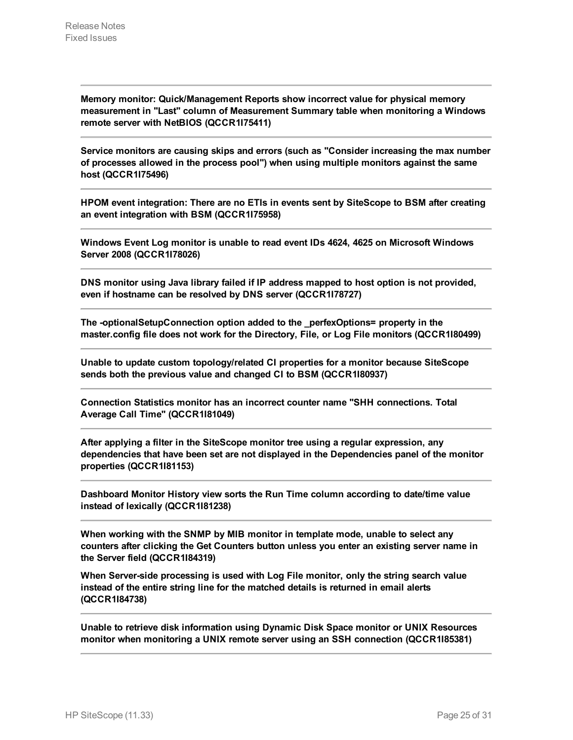**Memory monitor: Quick/Management Reports show incorrect value for physical memory measurement in "Last" column of Measurement Summary table when monitoring a Windows remote server with NetBIOS (QCCR1I75411)**

**Service monitors are causing skips and errors (such as "Consider increasing the max number of processes allowed in the process pool") when using multiple monitors against the same host (QCCR1I75496)**

**HPOM event integration: There are no ETIs in events sent by SiteScope to BSM after creating an event integration with BSM (QCCR1I75958)**

**Windows Event Log monitor is unable to read event IDs 4624, 4625 on Microsoft Windows Server 2008 (QCCR1I78026)**

**DNS monitor using Java library failed if IP address mapped to host option is not provided, even if hostname can be resolved by DNS server (QCCR1I78727)**

**The -optionalSetupConnection option added to the \_perfexOptions= property in the master.config file does not work for the Directory, File, or Log File monitors (QCCR1I80499)**

**Unable to update custom topology/related CI properties for a monitor because SiteScope sends both the previous value and changed CI to BSM (QCCR1I80937)**

**Connection Statistics monitor has an incorrect counter name "SHH connections. Total Average Call Time" (QCCR1I81049)**

**After applying a filter in the SiteScope monitor tree using a regular expression, any dependencies that have been set are not displayed in the Dependencies panel of the monitor properties (QCCR1I81153)**

**Dashboard Monitor History view sorts the Run Time column according to date/time value instead of lexically (QCCR1I81238)**

**When working with the SNMP by MIB monitor in template mode, unable to select any counters after clicking the Get Counters button unless you enter an existing server name in the Server field (QCCR1I84319)**

**When Server-side processing is used with Log File monitor, only the string search value instead of the entire string line for the matched details is returned in email alerts (QCCR1I84738)**

**Unable to retrieve disk information using Dynamic Disk Space monitor or UNIX Resources monitor when monitoring a UNIX remote server using an SSH connection (QCCR1I85381)**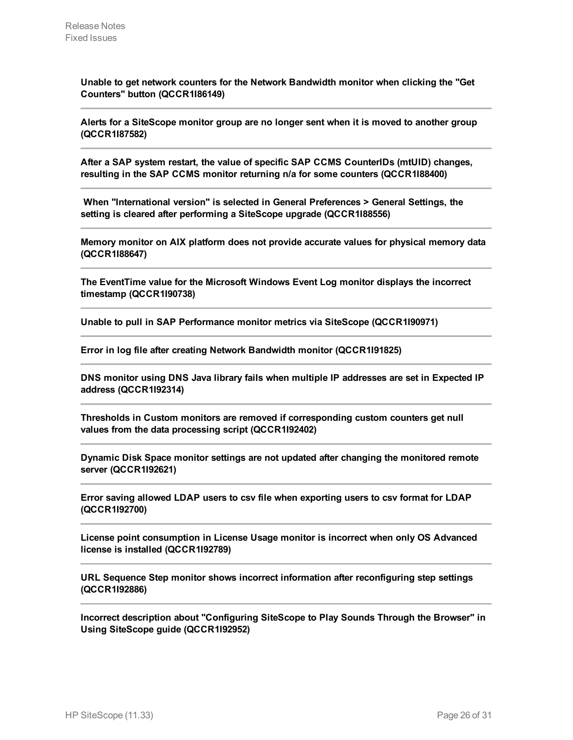**Unable to get network counters for the Network Bandwidth monitor when clicking the "Get Counters" button (QCCR1I86149)**

**Alerts for a SiteScope monitor group are no longer sent when it is moved to another group (QCCR1I87582)**

**After a SAP system restart, the value of specific SAP CCMS CounterIDs (mtUID) changes, resulting in the SAP CCMS monitor returning n/a for some counters (QCCR1I88400)**

**When "International version" is selected in General Preferences > General Settings, the setting is cleared after performing a SiteScope upgrade (QCCR1I88556)**

**Memory monitor on AIX platform does not provide accurate values for physical memory data (QCCR1I88647)**

**The EventTime value for the Microsoft Windows Event Log monitor displays the incorrect timestamp (QCCR1I90738)**

**Unable to pull in SAP Performance monitor metrics via SiteScope (QCCR1I90971)**

**Error in log file after creating Network Bandwidth monitor (QCCR1I91825)**

**DNS monitor using DNS Java library fails when multiple IP addresses are set in Expected IP address (QCCR1I92314)**

**Thresholds in Custom monitors are removed if corresponding custom counters get null values from the data processing script (QCCR1I92402)**

**Dynamic Disk Space monitor settings are not updated after changing the monitored remote server (QCCR1I92621)**

**Error saving allowed LDAP users to csv file when exporting users to csv format for LDAP (QCCR1I92700)**

**License point consumption in License Usage monitor is incorrect when only OS Advanced license is installed (QCCR1I92789)**

**URL Sequence Step monitor shows incorrect information after reconfiguring step settings (QCCR1I92886)**

**Incorrect description about "Configuring SiteScope to Play Sounds Through the Browser" in Using SiteScope guide (QCCR1I92952)**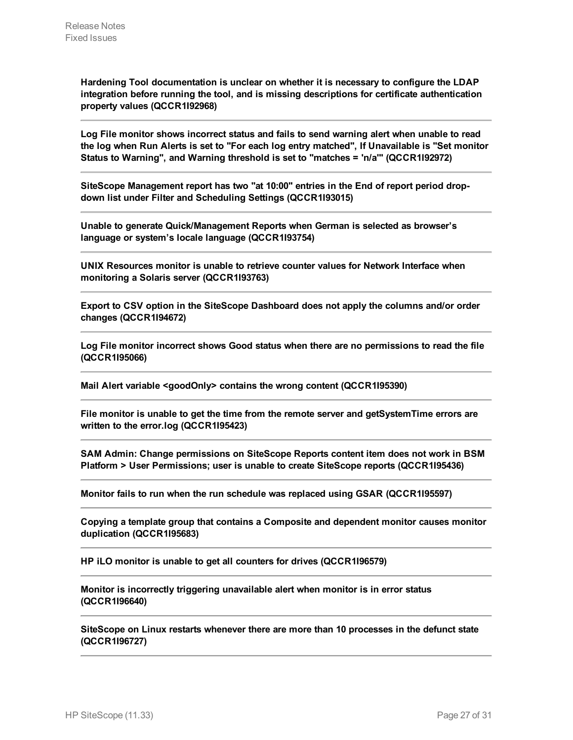**Hardening Tool documentation is unclear on whether it is necessary to configure the LDAP integration before running the tool, and is missing descriptions for certificate authentication property values (QCCR1I92968)**

**Log File monitor shows incorrect status and fails to send warning alert when unable to read the log when Run Alerts is set to "For each log entry matched", If Unavailable is "Set monitor Status to Warning", and Warning threshold is set to "matches = 'n/a'" (QCCR1I92972)**

**SiteScope Management report has two "at 10:00" entries in the End of report period dropdown list under Filter and Scheduling Settings (QCCR1I93015)**

**Unable to generate Quick/Management Reports when German is selected as browser's language or system's locale language (QCCR1I93754)**

**UNIX Resources monitor is unable to retrieve counter values for Network Interface when monitoring a Solaris server (QCCR1I93763)**

**Export to CSV option in the SiteScope Dashboard does not apply the columns and/or order changes (QCCR1I94672)**

**Log File monitor incorrect shows Good status when there are no permissions to read the file (QCCR1I95066)**

**Mail Alert variable <goodOnly> contains the wrong content (QCCR1I95390)**

**File monitor is unable to get the time from the remote server and getSystemTime errors are written to the error.log (QCCR1I95423)**

**SAM Admin: Change permissions on SiteScope Reports content item does not work in BSM Platform > User Permissions; user is unable to create SiteScope reports (QCCR1I95436)**

**Monitor fails to run when the run schedule was replaced using GSAR (QCCR1I95597)**

**Copying a template group that contains a Composite and dependent monitor causes monitor duplication (QCCR1I95683)**

**HP iLO monitor is unable to get all counters for drives (QCCR1I96579)**

**Monitor is incorrectly triggering unavailable alert when monitor is in error status (QCCR1I96640)**

**SiteScope on Linux restarts whenever there are more than 10 processes in the defunct state (QCCR1I96727)**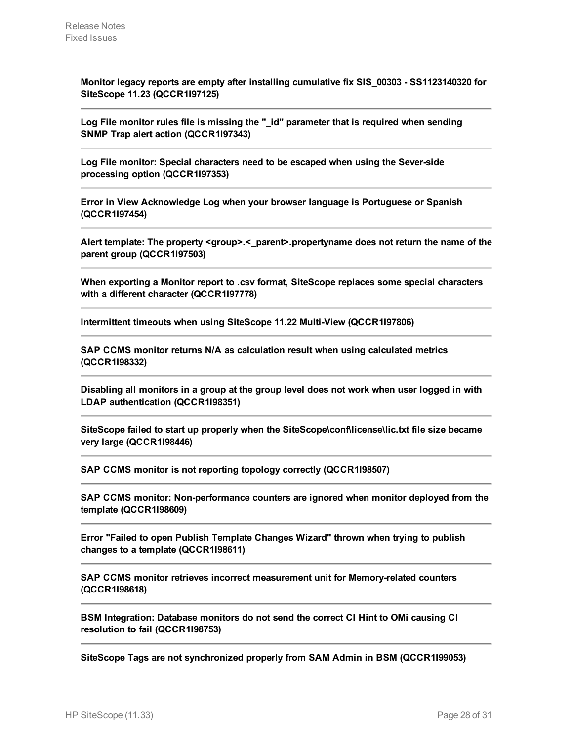**Monitor legacy reports are empty after installing cumulative fix SIS\_00303 - SS1123140320 for SiteScope 11.23 (QCCR1I97125)**

**Log File monitor rules file is missing the "\_id" parameter that is required when sending SNMP Trap alert action (QCCR1I97343)**

**Log File monitor: Special characters need to be escaped when using the Sever-side processing option (QCCR1I97353)**

**Error in View Acknowledge Log when your browser language is Portuguese or Spanish (QCCR1I97454)**

**Alert template: The property <group>.<\_parent>.propertyname does not return the name of the parent group (QCCR1I97503)**

**When exporting a Monitor report to .csv format, SiteScope replaces some special characters with a different character (QCCR1I97778)**

**Intermittent timeouts when using SiteScope 11.22 Multi-View (QCCR1I97806)**

**SAP CCMS monitor returns N/A as calculation result when using calculated metrics (QCCR1I98332)**

**Disabling all monitors in a group at the group level does not work when user logged in with LDAP authentication (QCCR1I98351)**

**SiteScope failed to start up properly when the SiteScope\conf\license\lic.txt file size became very large (QCCR1I98446)**

**SAP CCMS monitor is not reporting topology correctly (QCCR1I98507)**

**SAP CCMS monitor: Non-performance counters are ignored when monitor deployed from the template (QCCR1I98609)**

**Error "Failed to open Publish Template Changes Wizard" thrown when trying to publish changes to a template (QCCR1I98611)**

**SAP CCMS monitor retrieves incorrect measurement unit for Memory-related counters (QCCR1I98618)**

**BSM Integration: Database monitors do not send the correct CI Hint to OMi causing CI resolution to fail (QCCR1I98753)**

**SiteScope Tags are not synchronized properly from SAM Admin in BSM (QCCR1I99053)**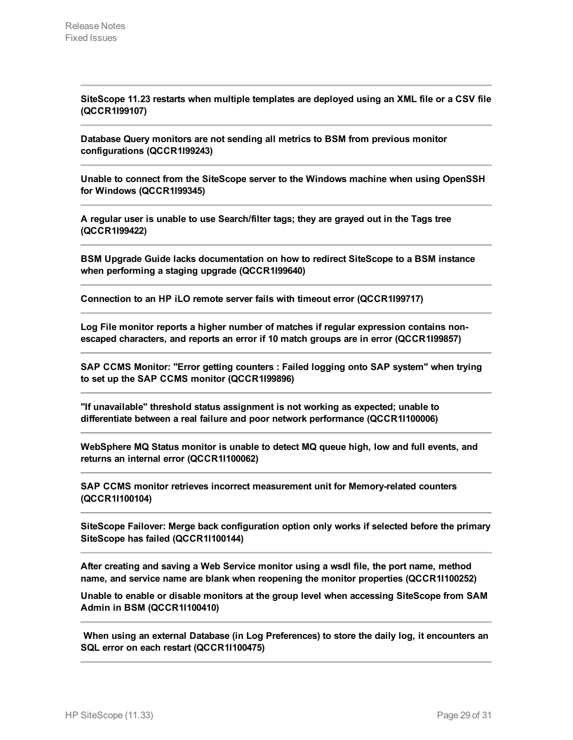**SiteScope 11.23 restarts when multiple templates are deployed using an XML file or a CSV file (QCCR1I99107)**

**Database Query monitors are not sending all metrics to BSM from previous monitor configurations (QCCR1I99243)**

**Unable to connect from the SiteScope server to the Windows machine when using OpenSSH for Windows (QCCR1I99345)**

**A regular user is unable to use Search/filter tags; they are grayed out in the Tags tree (QCCR1I99422)**

**BSM Upgrade Guide lacks documentation on how to redirect SiteScope to a BSM instance when performing a staging upgrade (QCCR1I99640)**

**Connection to an HP iLO remote server fails with timeout error (QCCR1I99717)**

**Log File monitor reports a higher number of matches if regular expression contains nonescaped characters, and reports an error if 10 match groups are in error (QCCR1I99857)**

**SAP CCMS Monitor: "Error getting counters : Failed logging onto SAP system" when trying to set up the SAP CCMS monitor (QCCR1I99896)**

**"If unavailable" threshold status assignment is not working as expected; unable to differentiate between a real failure and poor network performance (QCCR1I100006)**

**WebSphere MQ Status monitor is unable to detect MQ queue high, low and full events, and returns an internal error (QCCR1I100062)**

**SAP CCMS monitor retrieves incorrect measurement unit for Memory-related counters (QCCR1I100104)**

**SiteScope Failover: Merge back configuration option only works if selected before the primary SiteScope has failed (QCCR1I100144)**

**After creating and saving a Web Service monitor using a wsdl file, the port name, method name, and service name are blank when reopening the monitor properties (QCCR1I100252)**

**Unable to enable or disable monitors at the group level when accessing SiteScope from SAM Admin in BSM (QCCR1I100410)**

**When using an external Database (in Log Preferences) to store the daily log, it encounters an SQL error on each restart (QCCR1I100475)**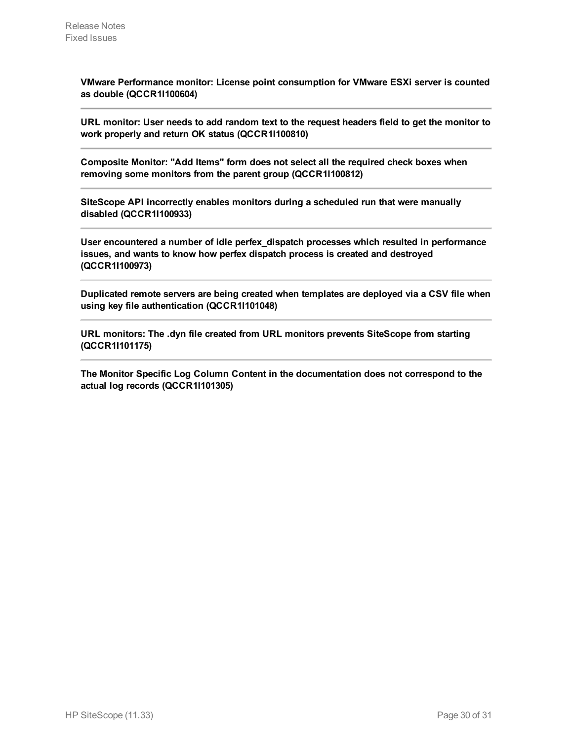**VMware Performance monitor: License point consumption for VMware ESXi server is counted as double (QCCR1I100604)**

**URL monitor: User needs to add random text to the request headers field to get the monitor to work properly and return OK status (QCCR1I100810)**

**Composite Monitor: "Add Items" form does not select all the required check boxes when removing some monitors from the parent group (QCCR1I100812)**

**SiteScope API incorrectly enables monitors during a scheduled run that were manually disabled (QCCR1I100933)**

**User encountered a number of idle perfex\_dispatch processes which resulted in performance issues, and wants to know how perfex dispatch process is created and destroyed (QCCR1I100973)**

**Duplicated remote servers are being created when templates are deployed via a CSV file when using key file authentication (QCCR1I101048)**

**URL monitors: The .dyn file created from URL monitors prevents SiteScope from starting (QCCR1I101175)**

**The Monitor Specific Log Column Content in the documentation does not correspond to the actual log records (QCCR1I101305)**